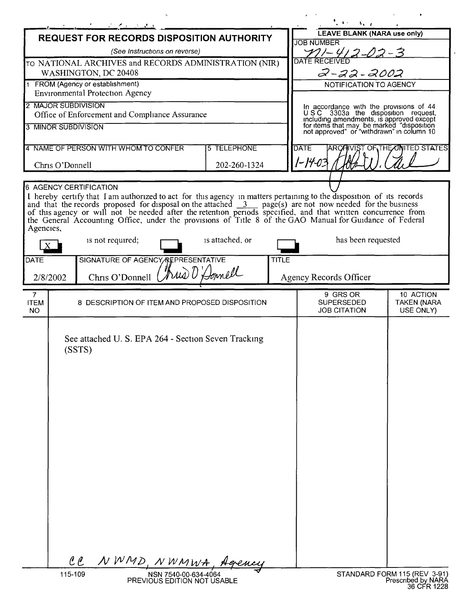|                                                                            |             | <u> 1964 - 1965 - 1966 - 1966 - 1966 - 1966 - 1966 - 1966 - 1966 - 1966 - 1966 - 1966 - 1966 - 1966 - 1966 - 196</u>                                                                                                                                                                                                                                                  |                                                     |                 |              |                                                                                                                                                                                                                     | $\rightarrow$ , $\rightarrow$            |                                                                   |
|----------------------------------------------------------------------------|-------------|-----------------------------------------------------------------------------------------------------------------------------------------------------------------------------------------------------------------------------------------------------------------------------------------------------------------------------------------------------------------------|-----------------------------------------------------|-----------------|--------------|---------------------------------------------------------------------------------------------------------------------------------------------------------------------------------------------------------------------|------------------------------------------|-------------------------------------------------------------------|
| REQUEST FOR RECORDS DISPOSITION AUTHORITY                                  |             |                                                                                                                                                                                                                                                                                                                                                                       |                                                     |                 |              | <b>LEAVE BLANK (NARA use only)</b>                                                                                                                                                                                  |                                          |                                                                   |
| (See Instructions on reverse)                                              |             |                                                                                                                                                                                                                                                                                                                                                                       |                                                     |                 |              | <b>JOB NUMBER</b>                                                                                                                                                                                                   |                                          |                                                                   |
| TO NATIONAL ARCHIVES and RECORDS ADMINISTRATION (NIR)                      |             |                                                                                                                                                                                                                                                                                                                                                                       |                                                     |                 |              | 12-02-3<br>DATE RECEIVED                                                                                                                                                                                            |                                          |                                                                   |
| WASHINGTON, DC 20408                                                       |             |                                                                                                                                                                                                                                                                                                                                                                       |                                                     |                 |              | 2-22-2002                                                                                                                                                                                                           |                                          |                                                                   |
| 1 FROM (Agency or establishment)<br><b>Environmental Protection Agency</b> |             |                                                                                                                                                                                                                                                                                                                                                                       |                                                     |                 |              | NOTIFICATION TO AGENCY                                                                                                                                                                                              |                                          |                                                                   |
| 2 MAJOR SUBDIVISION                                                        |             |                                                                                                                                                                                                                                                                                                                                                                       |                                                     |                 |              |                                                                                                                                                                                                                     |                                          |                                                                   |
| Office of Enforcement and Compliance Assurance                             |             |                                                                                                                                                                                                                                                                                                                                                                       |                                                     |                 |              |                                                                                                                                                                                                                     |                                          |                                                                   |
| 3 MINOR SUBDIVISION                                                        |             |                                                                                                                                                                                                                                                                                                                                                                       |                                                     |                 |              | In accordance with the provisions of 44<br>USC 3303a the disposition request,<br>including amendments, is approved except<br>for items that may be marked "disposition<br>not approved" or "withdrawn" in column 10 |                                          |                                                                   |
| 4 NAME OF PERSON WITH WHOM TO CONFER<br>5 TELEPHONE                        |             |                                                                                                                                                                                                                                                                                                                                                                       |                                                     |                 |              | ARCAIVIST OF THE UNITED STATES<br><b>DATE</b>                                                                                                                                                                       |                                          |                                                                   |
| Chris O'Donnell<br>202-260-1324                                            |             |                                                                                                                                                                                                                                                                                                                                                                       |                                                     |                 |              | 1-14-03                                                                                                                                                                                                             |                                          |                                                                   |
| <b>6 AGENCY CERTIFICATION</b>                                              |             |                                                                                                                                                                                                                                                                                                                                                                       |                                                     |                 |              |                                                                                                                                                                                                                     |                                          |                                                                   |
| Agencies,                                                                  |             | and that the records proposed for disposal on the attached $\frac{3}{2}$ page(s) are not now needed for the business<br>of this agency or will not be needed after the retention periods specified, and that written concurrence from<br>the General Accounting Office, under the provisions of Title 8 of the GAO Manual for Guidance of Federal<br>is not required; |                                                     | is attached, or |              |                                                                                                                                                                                                                     | has been requested                       |                                                                   |
|                                                                            |             |                                                                                                                                                                                                                                                                                                                                                                       |                                                     |                 |              |                                                                                                                                                                                                                     |                                          |                                                                   |
| DATE                                                                       |             | SIGNATURE OF AGENCY REPRESENTATIVE                                                                                                                                                                                                                                                                                                                                    |                                                     |                 | <b>TITLE</b> |                                                                                                                                                                                                                     |                                          |                                                                   |
| hus O'Donnell<br>Chris O'Donnell<br>2/8/2002                               |             |                                                                                                                                                                                                                                                                                                                                                                       |                                                     |                 |              | Agency Records Officer                                                                                                                                                                                              |                                          |                                                                   |
| $\overline{7}$                                                             |             |                                                                                                                                                                                                                                                                                                                                                                       |                                                     |                 |              |                                                                                                                                                                                                                     | 9 GRS OR                                 | 10 ACTION                                                         |
| <b>ITEM</b><br><b>NO</b>                                                   |             | 8 DESCRIPTION OF ITEM AND PROPOSED DISPOSITION                                                                                                                                                                                                                                                                                                                        |                                                     |                 |              |                                                                                                                                                                                                                     | <b>SUPERSEDED</b><br><b>JOB CITATION</b> | <b>TAKEN (NARA</b><br>USE ONLY)                                   |
|                                                                            | (SSTS)      | See attached U. S. EPA 264 - Section Seven Tracking                                                                                                                                                                                                                                                                                                                   |                                                     |                 |              |                                                                                                                                                                                                                     |                                          |                                                                   |
|                                                                            | $\ell \ell$ | NWMD, NWMWA, Agency                                                                                                                                                                                                                                                                                                                                                   |                                                     |                 |              |                                                                                                                                                                                                                     |                                          |                                                                   |
|                                                                            | 115-109     |                                                                                                                                                                                                                                                                                                                                                                       | NSN 7540-00-634-4064<br>PREVIOUS EDITION NOT USABLE |                 |              |                                                                                                                                                                                                                     |                                          | STANDARD FORM 115 (REV 3-91)<br>Prescribed by NARA<br>36 CFR 1228 |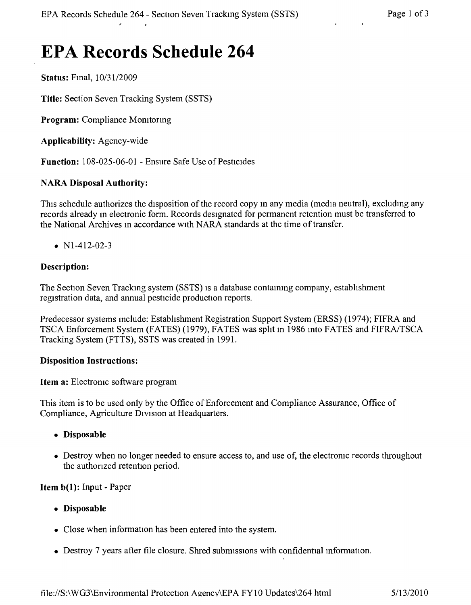# **EPA Records Schedule 264**

**Status:** Fmal, *10/3112009*

**Title:** Section Seven Tracking System (SSTS)

**Program:** Compliance Monitoring

**Applicability:** Agency-wide

**Function:** 108-025-06-01 - Ensure Safe Use of Pesticides

#### **NARA Disposal Authority:**

This schedule authorizes the disposition of the record copy in any media (media neutral), excluding any records already m electronic form. Records designated for permanent retention must be transferred to the National Archives in accordance with NARA standards at the time of transfer.

•  $N1-412-02-3$ 

#### **Description:**

The Section Seven Tracking system (SSTS) is a database containing company, establishment registration data, and annual pesticide production reports.

Predecessor systems mclude: Estabhshment Registration Support System (ERSS) (1974); FIFRA and TSCA Enforcement System (FATES) (1979), FATES was split in 1986 into FATES and FIFRA/TSCA Tracking System (FTTS), SSTS was created in 1991.

#### **Disposition Instructions:**

#### **Item a:** Electromc software program

This item is to be used only by the Office of Enforcement and Compliance Assurance, Office of Compliance, Agriculture Division at Headquarters.

- **• Disposable**
- Destroy when no longer needed to ensure access to, and use of, the electronic records throughout the authonzed retention period.

**Item b(1):** Input - Paper

- **• Disposable**
- Close when information has been entered into the system.
- Destroy 7 years after file closure. Shred submissions with confidential information.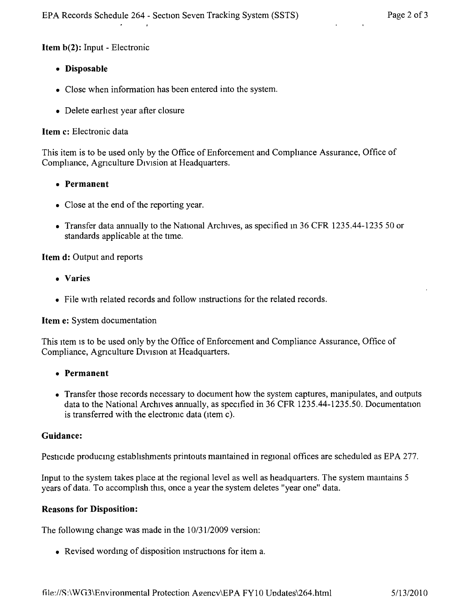## Item b(2): Input - Electronic

- • Disposable
- Close when information has been entered into the system.
- Delete earliest year after closure

## Item c: Electronic data

This item is to be used only by the Office of Enforcement and Comphance Assurance, Office of Compliance, Agriculture Division at Headquarters.

- Permanent
- Close at the end of the reporting year.
- Transfer data annually to the National Archives, as specified in 36 CFR 1235.44-1235 50 or standards applicable at the time.

# Item d: Output and reports

- Varies
- File with related records and follow instructions for the related records.

Item e: System documentation

This item is to be used only by the Office of Enforcement and Compliance Assurance, Office of Compliance, Agnculture DIVISion at Headquarters.

- • Permanent
- Transfer those records necessary to document how the system captures, manipulates, and outputs data to the National Archives annually, as specified in 36 CFR 1235.44-1235.50. Documentation is transferred with the electronic data (item c).

# Guidance:

Pesticide producmg estabhshments printouts mamtained in regional offices are scheduled as EPA 277.

Input to the system takes place at the regional level as well as headquarters. The system maintains 5 years of data. To accomphsh this, once a year the system deletes "year one" data.

#### Reasons for Disposition:

The followmg change was made in the *10/3112009* version:

• Revised wording of disposition instructions for item a.